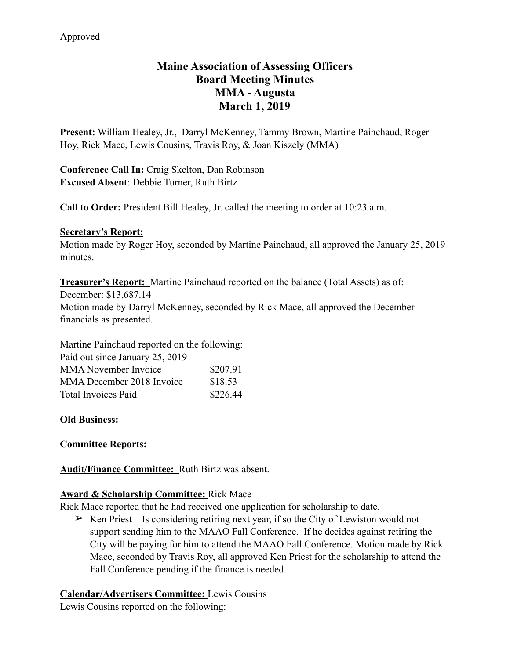# **Maine Association of Assessing Officers Board Meeting Minutes MMA - Augusta March 1, 2019**

**Present:** William Healey, Jr., Darryl McKenney, Tammy Brown, Martine Painchaud, Roger Hoy, Rick Mace, Lewis Cousins, Travis Roy, & Joan Kiszely (MMA)

**Conference Call In:** Craig Skelton, Dan Robinson **Excused Absent**: Debbie Turner, Ruth Birtz

**Call to Order:** President Bill Healey, Jr. called the meeting to order at 10:23 a.m.

#### **Secretary's Report:**

Motion made by Roger Hoy, seconded by Martine Painchaud, all approved the January 25, 2019 minutes.

**Treasurer's Report:** Martine Painchaud reported on the balance (Total Assets) as of:

December: \$13,687.14 Motion made by Darryl McKenney, seconded by Rick Mace, all approved the December financials as presented.

Martine Painchaud reported on the following:

| Paid out since January 25, 2019 |          |
|---------------------------------|----------|
| <b>MMA</b> November Invoice     | \$207.91 |
| MMA December 2018 Invoice       | \$18.53  |
| <b>Total Invoices Paid</b>      | \$226.44 |

## **Old Business:**

## **Committee Reports:**

**Audit/Finance Committee:** Ruth Birtz was absent.

## **Award & Scholarship Committee:** Rick Mace

Rick Mace reported that he had received one application for scholarship to date.

 $\triangleright$  Ken Priest – Is considering retiring next year, if so the City of Lewiston would not support sending him to the MAAO Fall Conference. If he decides against retiring the City will be paying for him to attend the MAAO Fall Conference. Motion made by Rick Mace, seconded by Travis Roy, all approved Ken Priest for the scholarship to attend the Fall Conference pending if the finance is needed.

## **Calendar/Advertisers Committee:** Lewis Cousins

Lewis Cousins reported on the following: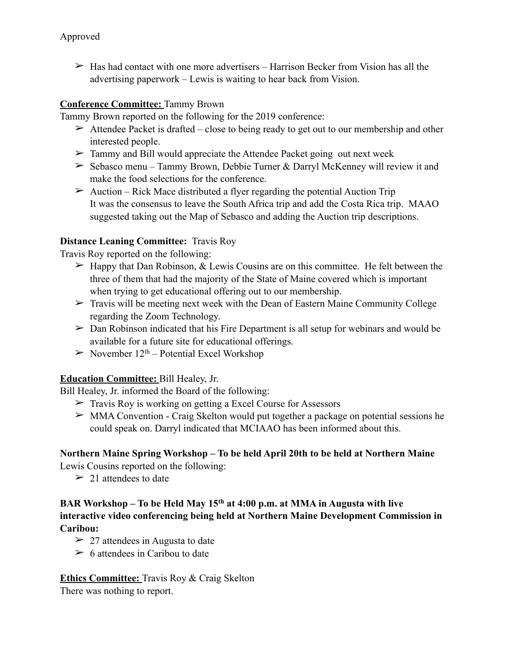$\geq$  Has had contact with one more advertisers – Harrison Becker from Vision has all the advertising paperwork – Lewis is waiting to hear back from Vision.

#### **Conference Committee:** Tammy Brown

Tammy Brown reported on the following for the 2019 conference:

- $\triangleright$  Attendee Packet is drafted close to being ready to get out to our membership and other interested people.
- $\geq$  Tammy and Bill would appreciate the Attendee Packet going out next week
- $\geq$  Sebasco menu Tammy Brown, Debbie Turner & Darryl McKenney will review it and make the food selections for the conference.
- $\triangleright$  Auction Rick Mace distributed a flyer regarding the potential Auction Trip It was the consensus to leave the South Africa trip and add the Costa Rica trip. MAAO suggested taking out the Map of Sebasco and adding the Auction trip descriptions.

#### **Distance Leaning Committee:** Travis Roy

Travis Roy reported on the following:

- $\triangleright$  Happy that Dan Robinson, & Lewis Cousins are on this committee. He felt between the three of them that had the majority of the State of Maine covered which is important when trying to get educational offering out to our membership.
- $\triangleright$  Travis will be meeting next week with the Dean of Eastern Maine Community College regarding the Zoom Technology.
- $\triangleright$  Dan Robinson indicated that his Fire Department is all setup for webinars and would be available for a future site for educational offerings.
- $\geq$  November 12<sup>th</sup> Potential Excel Workshop

## **Education Committee:** Bill Healey, Jr.

Bill Healey, Jr. informed the Board of the following:

- ➢ Travis Roy is working on getting a Excel Course for Assessors
- $\geq$  MMA Convention Craig Skelton would put together a package on potential sessions he could speak on. Darryl indicated that MCIAAO has been informed about this.

## **Northern Maine Spring Workshop – To be held April 20th to be held at Northern Maine**

Lewis Cousins reported on the following:

 $\geq 21$  attendees to date

## **BAR Workshop – To be Held May 15th at 4:00 p.m. at MMA in Augusta with live interactive video conferencing being held at Northern Maine Development Commission in Caribou:**

- $\geq$  27 attendees in Augusta to date
- $\geq 6$  attendees in Caribou to date

## **Ethics Committee:** Travis Roy & Craig Skelton

There was nothing to report.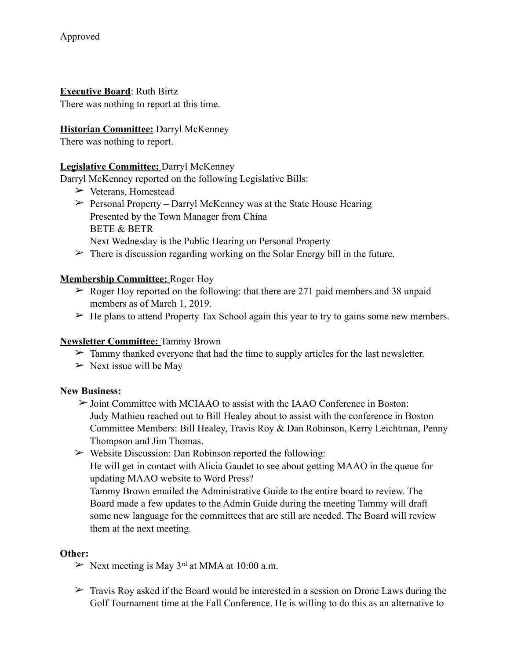#### **Executive Board**: Ruth Birtz

There was nothing to report at this time.

#### **Historian Committee:** Darryl McKenney

There was nothing to report.

## **Legislative Committee:** Darryl McKenney

Darryl McKenney reported on the following Legislative Bills:

- ➢ Veterans, Homestead
- $\triangleright$  Personal Property Darryl McKenney was at the State House Hearing Presented by the Town Manager from China BETE & BETR Next Wednesday is the Public Hearing on Personal Property
- $\triangleright$  There is discussion regarding working on the Solar Energy bill in the future.

#### **Membership Committee:** Roger Hoy

- $\geq$  Roger Hoy reported on the following: that there are 271 paid members and 38 unpaid members as of March 1, 2019.
- $\triangleright$  He plans to attend Property Tax School again this year to try to gains some new members.

## **Newsletter Committee:** Tammy Brown

- $\triangleright$  Tammy thanked everyone that had the time to supply articles for the last newsletter.
- $\triangleright$  Next issue will be May

#### **New Business:**

- $\geq$  Joint Committee with MCIAAO to assist with the IAAO Conference in Boston: Judy Mathieu reached out to Bill Healey about to assist with the conference in Boston Committee Members: Bill Healey, Travis Roy & Dan Robinson, Kerry Leichtman, Penny Thompson and Jim Thomas.
- $\triangleright$  Website Discussion: Dan Robinson reported the following: He will get in contact with Alicia Gaudet to see about getting MAAO in the queue for updating MAAO website to Word Press?

Tammy Brown emailed the Administrative Guide to the entire board to review. The Board made a few updates to the Admin Guide during the meeting Tammy will draft some new language for the committees that are still are needed. The Board will review them at the next meeting.

#### **Other:**

- $\triangleright$  Next meeting is May 3<sup>rd</sup> at MMA at 10:00 a.m.
- $\triangleright$  Travis Roy asked if the Board would be interested in a session on Drone Laws during the Golf Tournament time at the Fall Conference. He is willing to do this as an alternative to